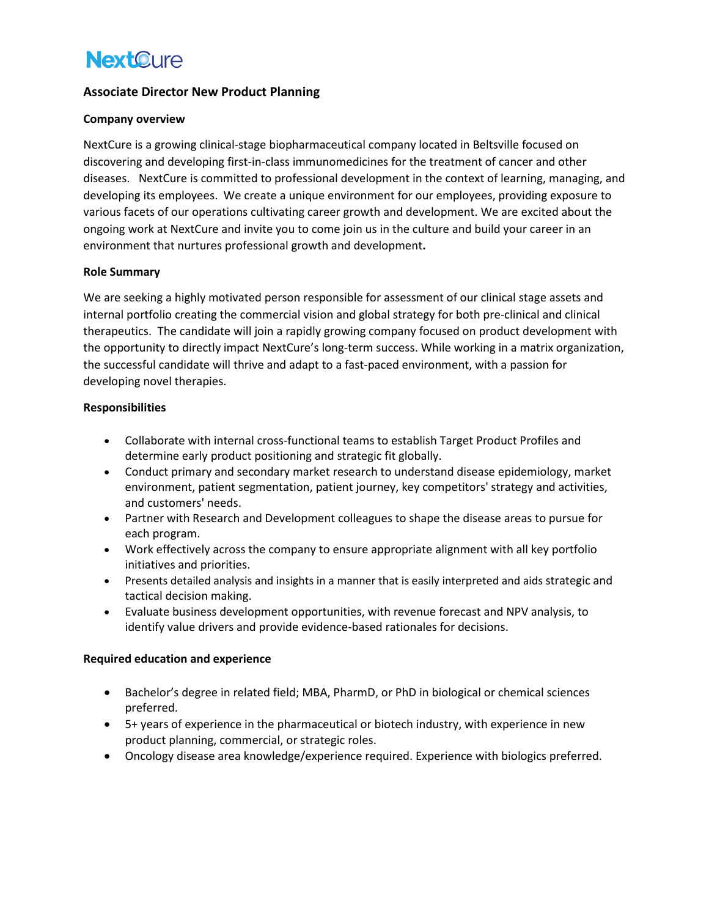# **NextOure**

# **Associate Director New Product Planning**

# **Company overview**

NextCure is a growing clinical-stage biopharmaceutical company located in Beltsville focused on discovering and developing first-in-class immunomedicines for the treatment of cancer and other diseases. NextCure is committed to professional development in the context of learning, managing, and developing its employees. We create a unique environment for our employees, providing exposure to various facets of our operations cultivating career growth and development. We are excited about the ongoing work at NextCure and invite you to come join us in the culture and build your career in an environment that nurtures professional growth and development**.**

#### **Role Summary**

We are seeking a highly motivated person responsible for assessment of our clinical stage assets and internal portfolio creating the commercial vision and global strategy for both pre-clinical and clinical therapeutics. The candidate will join a rapidly growing company focused on product development with the opportunity to directly impact NextCure's long-term success. While working in a matrix organization, the successful candidate will thrive and adapt to a fast-paced environment, with a passion for developing novel therapies.

# **Responsibilities**

- Collaborate with internal cross-functional teams to establish Target Product Profiles and determine early product positioning and strategic fit globally.
- Conduct primary and secondary market research to understand disease epidemiology, market environment, patient segmentation, patient journey, key competitors' strategy and activities, and customers' needs.
- Partner with Research and Development colleagues to shape the disease areas to pursue for each program.
- Work effectively across the company to ensure appropriate alignment with all key portfolio initiatives and priorities.
- Presents detailed analysis and insights in a manner that is easily interpreted and aids strategic and tactical decision making.
- Evaluate business development opportunities, with revenue forecast and NPV analysis, to identify value drivers and provide evidence-based rationales for decisions.

# **Required education and experience**

- Bachelor's degree in related field; MBA, PharmD, or PhD in biological or chemical sciences preferred.
- 5+ years of experience in the pharmaceutical or biotech industry, with experience in new product planning, commercial, or strategic roles.
- Oncology disease area knowledge/experience required. Experience with biologics preferred.